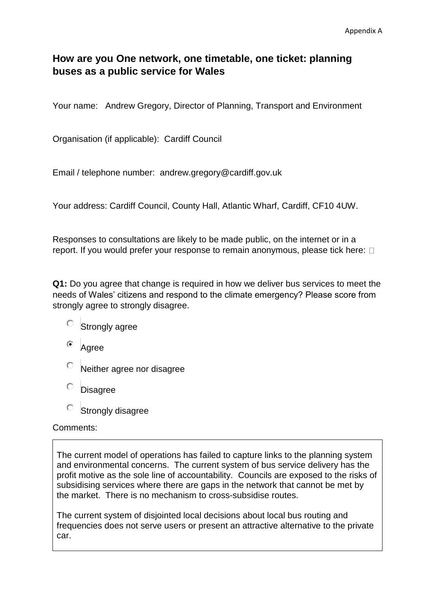# **How are you One network, one timetable, one ticket: planning buses as a public service for Wales**

Your name: Andrew Gregory, Director of Planning, Transport and Environment

Organisation (if applicable): Cardiff Council

Email / telephone number: andrew.gregory@cardiff.gov.uk

Your address: Cardiff Council, County Hall, Atlantic Wharf, Cardiff, CF10 4UW.

Responses to consultations are likely to be made public, on the internet or in a report. If you would prefer your response to remain anonymous, please tick here:  $\Box$ 

**Q1:** Do you agree that change is required in how we deliver bus services to meet the needs of Wales' citizens and respond to the climate emergency? Please score from strongly agree to strongly disagree.

- $\circ$  Strongly agree
- $\odot$ Agree
- Neither agree nor disagree
- 0. Disagree
- $\circ$ Strongly disagree

## Comments:

The current model of operations has failed to capture links to the planning system and environmental concerns. The current system of bus service delivery has the profit motive as the sole line of accountability. Councils are exposed to the risks of subsidising services where there are gaps in the network that cannot be met by the market. There is no mechanism to cross-subsidise routes.

The current system of disjointed local decisions about local bus routing and frequencies does not serve users or present an attractive alternative to the private car.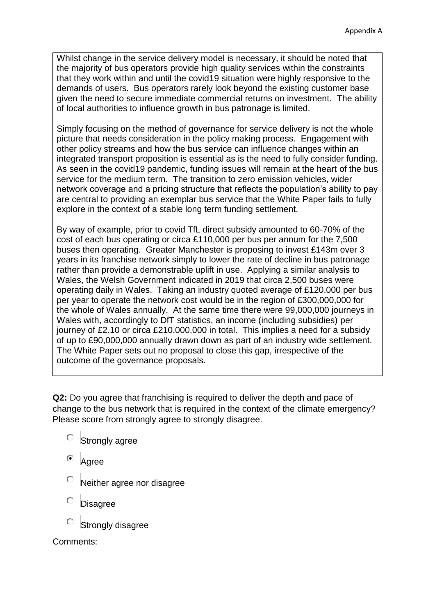Whilst change in the service delivery model is necessary, it should be noted that the majority of bus operators provide high quality services within the constraints that they work within and until the covid19 situation were highly responsive to the demands of users. Bus operators rarely look beyond the existing customer base given the need to secure immediate commercial returns on investment. The ability of local authorities to influence growth in bus patronage is limited.

Simply focusing on the method of governance for service delivery is not the whole picture that needs consideration in the policy making process. Engagement with other policy streams and how the bus service can influence changes within an integrated transport proposition is essential as is the need to fully consider funding. As seen in the covid19 pandemic, funding issues will remain at the heart of the bus service for the medium term. The transition to zero emission vehicles, wider network coverage and a pricing structure that reflects the population's ability to pay are central to providing an exemplar bus service that the White Paper fails to fully explore in the context of a stable long term funding settlement.

By way of example, prior to covid TfL direct subsidy amounted to 60-70% of the cost of each bus operating or circa £110,000 per bus per annum for the 7,500 buses then operating. Greater Manchester is proposing to invest £143m over 3 years in its franchise network simply to lower the rate of decline in bus patronage rather than provide a demonstrable uplift in use. Applying a similar analysis to Wales, the Welsh Government indicated in 2019 that circa 2,500 buses were operating daily in Wales. Taking an industry quoted average of £120,000 per bus per year to operate the network cost would be in the region of £300,000,000 for the whole of Wales annually. At the same time there were 99,000,000 journeys in Wales with, accordingly to DfT statistics, an income (including subsidies) per journey of £2.10 or circa £210,000,000 in total. This implies a need for a subsidy of up to £90,000,000 annually drawn down as part of an industry wide settlement. The White Paper sets out no proposal to close this gap, irrespective of the outcome of the governance proposals.

**Q2:** Do you agree that franchising is required to deliver the depth and pace of change to the bus network that is required in the context of the climate emergency? Please score from strongly agree to strongly disagree.

- $\circ$  Strongly agree
- Agree
- Neither agree nor disagree
- **Disagree**
- Strongly disagree

Comments: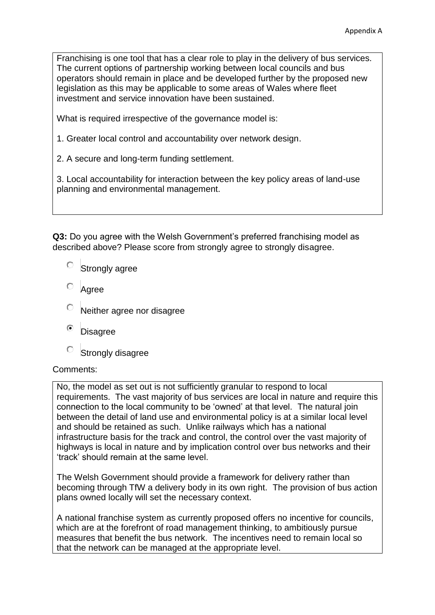Franchising is one tool that has a clear role to play in the delivery of bus services. The current options of partnership working between local councils and bus operators should remain in place and be developed further by the proposed new legislation as this may be applicable to some areas of Wales where fleet investment and service innovation have been sustained.

What is required irrespective of the governance model is:

- 1. Greater local control and accountability over network design.
- 2. A secure and long-term funding settlement.

3. Local accountability for interaction between the key policy areas of land-use planning and environmental management.

**Q3:** Do you agree with the Welsh Government's preferred franchising model as described above? Please score from strongly agree to strongly disagree.

- О. Strongly agree
- Agree
- Neither agree nor disagree
- $\odot$ **Disagree**
- О Strongly disagree

## Comments:

No, the model as set out is not sufficiently granular to respond to local requirements. The vast majority of bus services are local in nature and require this connection to the local community to be 'owned' at that level. The natural join between the detail of land use and environmental policy is at a similar local level and should be retained as such. Unlike railways which has a national infrastructure basis for the track and control, the control over the vast majority of highways is local in nature and by implication control over bus networks and their 'track' should remain at the same level.

The Welsh Government should provide a framework for delivery rather than becoming through TfW a delivery body in its own right. The provision of bus action plans owned locally will set the necessary context.

A national franchise system as currently proposed offers no incentive for councils, which are at the forefront of road management thinking, to ambitiously pursue measures that benefit the bus network. The incentives need to remain local so that the network can be managed at the appropriate level.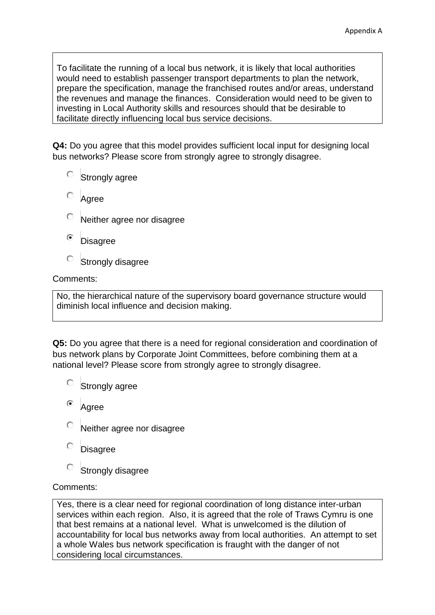To facilitate the running of a local bus network, it is likely that local authorities would need to establish passenger transport departments to plan the network, prepare the specification, manage the franchised routes and/or areas, understand the revenues and manage the finances. Consideration would need to be given to investing in Local Authority skills and resources should that be desirable to facilitate directly influencing local bus service decisions.

**Q4:** Do you agree that this model provides sufficient local input for designing local bus networks? Please score from strongly agree to strongly disagree.

- $\circ$  Strongly agree
- Agree
- Neither agree nor disagree
- $\mathbf G$ **Disagree**
- О Strongly disagree

## Comments:

No, the hierarchical nature of the supervisory board governance structure would diminish local influence and decision making.

**Q5:** Do you agree that there is a need for regional consideration and coordination of bus network plans by Corporate Joint Committees, before combining them at a national level? Please score from strongly agree to strongly disagree.

- О Strongly agree
- Agree
- Neither agree nor disagree
- **Disagree**
- О Strongly disagree

## Comments:

Yes, there is a clear need for regional coordination of long distance inter-urban services within each region. Also, it is agreed that the role of Traws Cymru is one that best remains at a national level. What is unwelcomed is the dilution of accountability for local bus networks away from local authorities. An attempt to set a whole Wales bus network specification is fraught with the danger of not considering local circumstances.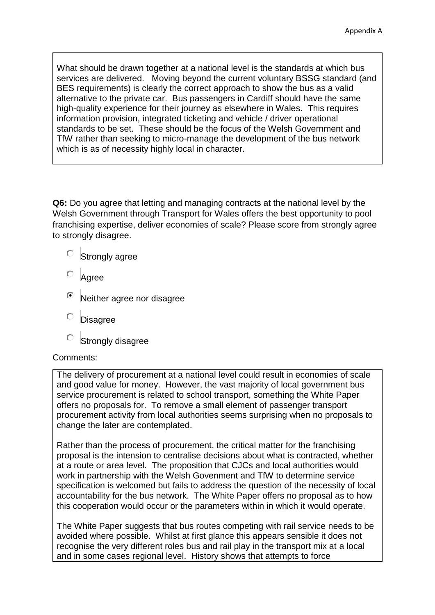What should be drawn together at a national level is the standards at which bus services are delivered. Moving beyond the current voluntary BSSG standard (and BES requirements) is clearly the correct approach to show the bus as a valid alternative to the private car. Bus passengers in Cardiff should have the same high-quality experience for their journey as elsewhere in Wales. This requires information provision, integrated ticketing and vehicle / driver operational standards to be set. These should be the focus of the Welsh Government and TfW rather than seeking to micro-manage the development of the bus network which is as of necessity highly local in character.

**Q6:** Do you agree that letting and managing contracts at the national level by the Welsh Government through Transport for Wales offers the best opportunity to pool franchising expertise, deliver economies of scale? Please score from strongly agree to strongly disagree.

- O. Strongly agree
- Agree
- Neither agree nor disagree
- Ō **Disagree**
- О Strongly disagree

## Comments:

The delivery of procurement at a national level could result in economies of scale and good value for money. However, the vast majority of local government bus service procurement is related to school transport, something the White Paper offers no proposals for. To remove a small element of passenger transport procurement activity from local authorities seems surprising when no proposals to change the later are contemplated.

Rather than the process of procurement, the critical matter for the franchising proposal is the intension to centralise decisions about what is contracted, whether at a route or area level. The proposition that CJCs and local authorities would work in partnership with the Welsh Govenment and TfW to determine service specification is welcomed but fails to address the question of the necessity of local accountability for the bus network. The White Paper offers no proposal as to how this cooperation would occur or the parameters within in which it would operate.

The White Paper suggests that bus routes competing with rail service needs to be avoided where possible. Whilst at first glance this appears sensible it does not recognise the very different roles bus and rail play in the transport mix at a local and in some cases regional level. History shows that attempts to force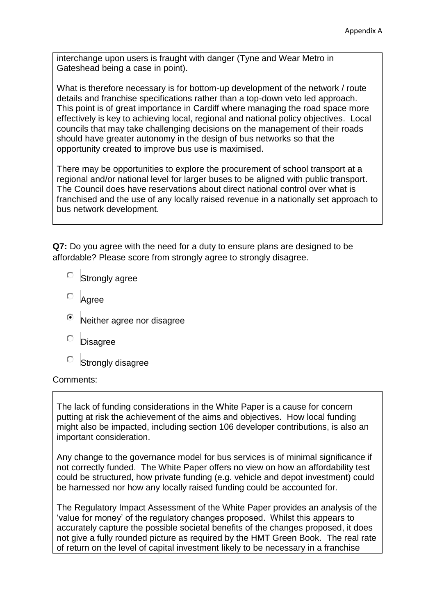interchange upon users is fraught with danger (Tyne and Wear Metro in Gateshead being a case in point).

What is therefore necessary is for bottom-up development of the network / route details and franchise specifications rather than a top-down veto led approach. This point is of great importance in Cardiff where managing the road space more effectively is key to achieving local, regional and national policy objectives. Local councils that may take challenging decisions on the management of their roads should have greater autonomy in the design of bus networks so that the opportunity created to improve bus use is maximised.

There may be opportunities to explore the procurement of school transport at a regional and/or national level for larger buses to be aligned with public transport. The Council does have reservations about direct national control over what is franchised and the use of any locally raised revenue in a nationally set approach to bus network development.

**Q7:** Do you agree with the need for a duty to ensure plans are designed to be affordable? Please score from strongly agree to strongly disagree.

- $\circ$  Strongly agree
- Agree
- Neither agree nor disagree
- Disagree
- $\bigcirc$ Strongly disagree

#### Comments:

The lack of funding considerations in the White Paper is a cause for concern putting at risk the achievement of the aims and objectives. How local funding might also be impacted, including section 106 developer contributions, is also an important consideration.

Any change to the governance model for bus services is of minimal significance if not correctly funded. The White Paper offers no view on how an affordability test could be structured, how private funding (e.g. vehicle and depot investment) could be harnessed nor how any locally raised funding could be accounted for.

The Regulatory Impact Assessment of the White Paper provides an analysis of the 'value for money' of the regulatory changes proposed. Whilst this appears to accurately capture the possible societal benefits of the changes proposed, it does not give a fully rounded picture as required by the HMT Green Book. The real rate of return on the level of capital investment likely to be necessary in a franchise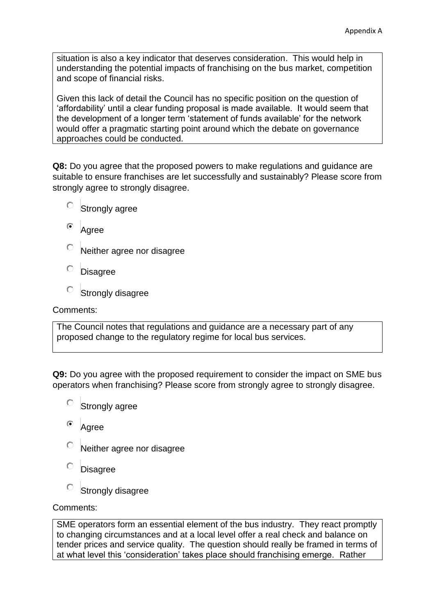situation is also a key indicator that deserves consideration. This would help in understanding the potential impacts of franchising on the bus market, competition and scope of financial risks.

Given this lack of detail the Council has no specific position on the question of 'affordability' until a clear funding proposal is made available. It would seem that the development of a longer term 'statement of funds available' for the network would offer a pragmatic starting point around which the debate on governance approaches could be conducted.

**Q8:** Do you agree that the proposed powers to make regulations and guidance are suitable to ensure franchises are let successfully and sustainably? Please score from strongly agree to strongly disagree.

- $\circ$  Strongly agree
- <sup>o</sup> Agree
- О Neither agree nor disagree
- Ō **Disagree**
- Strongly disagree

Comments:

The Council notes that regulations and guidance are a necessary part of any proposed change to the regulatory regime for local bus services.

**Q9:** Do you agree with the proposed requirement to consider the impact on SME bus operators when franchising? Please score from strongly agree to strongly disagree.

- $\circ$  Strongly agree
- $\circ$ Agree
- Neither agree nor disagree
- О **Disagree**
- Strongly disagree

## Comments:

SME operators form an essential element of the bus industry. They react promptly to changing circumstances and at a local level offer a real check and balance on tender prices and service quality. The question should really be framed in terms of at what level this 'consideration' takes place should franchising emerge. Rather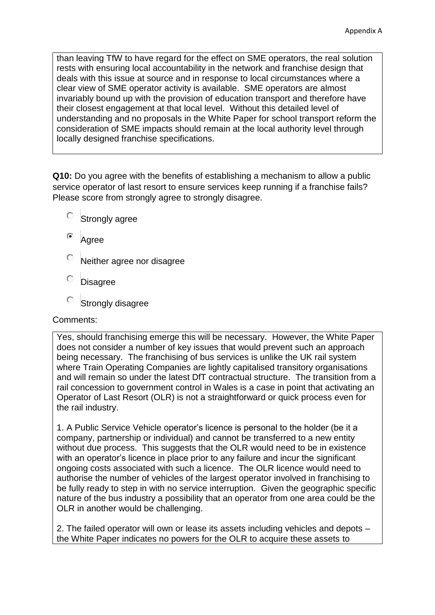than leaving TfW to have regard for the effect on SME operators, the real solution rests with ensuring local accountability in the network and franchise design that deals with this issue at source and in response to local circumstances where a clear view of SME operator activity is available. SME operators are almost invariably bound up with the provision of education transport and therefore have their closest engagement at that local level. Without this detailed level of understanding and no proposals in the White Paper for school transport reform the consideration of SME impacts should remain at the local authority level through locally designed franchise specifications.

**Q10:** Do you agree with the benefits of establishing a mechanism to allow a public service operator of last resort to ensure services keep running if a franchise fails? Please score from strongly agree to strongly disagree.

- О Strongly agree
- Agree
- Neither agree nor disagree
- Ō Disagree
- Strongly disagree

## Comments:

Yes, should franchising emerge this will be necessary. However, the White Paper does not consider a number of key issues that would prevent such an approach being necessary. The franchising of bus services is unlike the UK rail system where Train Operating Companies are lightly capitalised transitory organisations and will remain so under the latest DfT contractual structure. The transition from a rail concession to government control in Wales is a case in point that activating an Operator of Last Resort (OLR) is not a straightforward or quick process even for the rail industry.

1. A Public Service Vehicle operator's licence is personal to the holder (be it a company, partnership or individual) and cannot be transferred to a new entity without due process. This suggests that the OLR would need to be in existence with an operator's licence in place prior to any failure and incur the significant ongoing costs associated with such a licence. The OLR licence would need to authorise the number of vehicles of the largest operator involved in franchising to be fully ready to step in with no service interruption. Given the geographic specific nature of the bus industry a possibility that an operator from one area could be the OLR in another would be challenging.

2. The failed operator will own or lease its assets including vehicles and depots – the White Paper indicates no powers for the OLR to acquire these assets to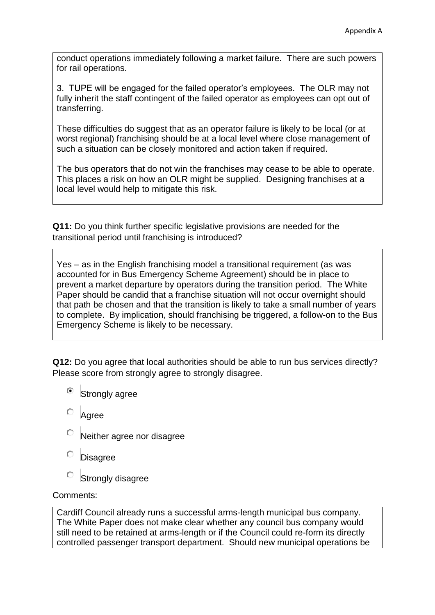conduct operations immediately following a market failure. There are such powers for rail operations.

3. TUPE will be engaged for the failed operator's employees. The OLR may not fully inherit the staff contingent of the failed operator as employees can opt out of transferring.

These difficulties do suggest that as an operator failure is likely to be local (or at worst regional) franchising should be at a local level where close management of such a situation can be closely monitored and action taken if required.

The bus operators that do not win the franchises may cease to be able to operate. This places a risk on how an OLR might be supplied. Designing franchises at a local level would help to mitigate this risk.

**Q11:** Do you think further specific legislative provisions are needed for the transitional period until franchising is introduced?

Yes – as in the English franchising model a transitional requirement (as was accounted for in Bus Emergency Scheme Agreement) should be in place to prevent a market departure by operators during the transition period. The White Paper should be candid that a franchise situation will not occur overnight should that path be chosen and that the transition is likely to take a small number of years to complete. By implication, should franchising be triggered, a follow-on to the Bus Emergency Scheme is likely to be necessary.

**Q12:** Do you agree that local authorities should be able to run bus services directly? Please score from strongly agree to strongly disagree.

- Strongly agree
- Agree
- Neither agree nor disagree
- Disagree
- $\circ$ Strongly disagree

Comments:

Cardiff Council already runs a successful arms-length municipal bus company. The White Paper does not make clear whether any council bus company would still need to be retained at arms-length or if the Council could re-form its directly controlled passenger transport department. Should new municipal operations be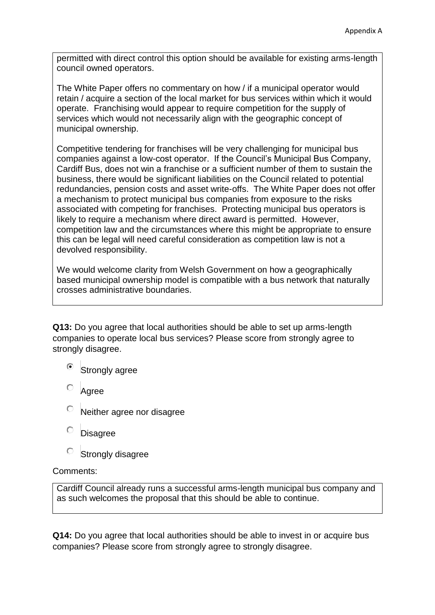permitted with direct control this option should be available for existing arms-length council owned operators.

The White Paper offers no commentary on how / if a municipal operator would retain / acquire a section of the local market for bus services within which it would operate. Franchising would appear to require competition for the supply of services which would not necessarily align with the geographic concept of municipal ownership.

Competitive tendering for franchises will be very challenging for municipal bus companies against a low-cost operator. If the Council's Municipal Bus Company, Cardiff Bus, does not win a franchise or a sufficient number of them to sustain the business, there would be significant liabilities on the Council related to potential redundancies, pension costs and asset write-offs. The White Paper does not offer a mechanism to protect municipal bus companies from exposure to the risks associated with competing for franchises. Protecting municipal bus operators is likely to require a mechanism where direct award is permitted. However, competition law and the circumstances where this might be appropriate to ensure this can be legal will need careful consideration as competition law is not a devolved responsibility.

We would welcome clarity from Welsh Government on how a geographically based municipal ownership model is compatible with a bus network that naturally crosses administrative boundaries.

**Q13:** Do you agree that local authorities should be able to set up arms-length companies to operate local bus services? Please score from strongly agree to strongly disagree.

- ⊙ Strongly agree
- Agree
- Neither agree nor disagree
- **Disagree**
- О Strongly disagree

## Comments:

Cardiff Council already runs a successful arms-length municipal bus company and as such welcomes the proposal that this should be able to continue.

**Q14:** Do you agree that local authorities should be able to invest in or acquire bus companies? Please score from strongly agree to strongly disagree.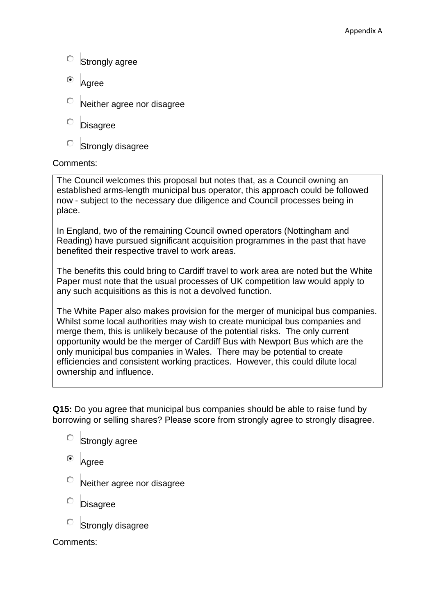- $\circ$  Strongly agree
- $\odot$ Agree
- Neither agree nor disagree
- О **Disagree**
- О Strongly disagree

## Comments:

The Council welcomes this proposal but notes that, as a Council owning an established arms-length municipal bus operator, this approach could be followed now - subject to the necessary due diligence and Council processes being in place.

In England, two of the remaining Council owned operators (Nottingham and Reading) have pursued significant acquisition programmes in the past that have benefited their respective travel to work areas.

The benefits this could bring to Cardiff travel to work area are noted but the White Paper must note that the usual processes of UK competition law would apply to any such acquisitions as this is not a devolved function.

The White Paper also makes provision for the merger of municipal bus companies. Whilst some local authorities may wish to create municipal bus companies and merge them, this is unlikely because of the potential risks. The only current opportunity would be the merger of Cardiff Bus with Newport Bus which are the only municipal bus companies in Wales. There may be potential to create efficiencies and consistent working practices. However, this could dilute local ownership and influence.

**Q15:** Do you agree that municipal bus companies should be able to raise fund by borrowing or selling shares? Please score from strongly agree to strongly disagree.

- О Strongly agree
- Agree
- Neither agree nor disagree
- **Disagree**
- Strongly disagree

Comments: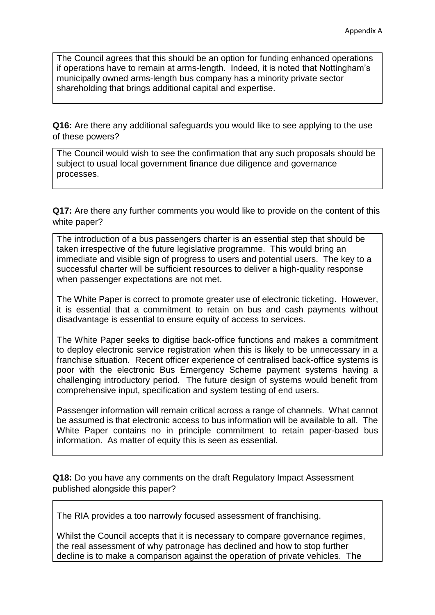The Council agrees that this should be an option for funding enhanced operations if operations have to remain at arms-length. Indeed, it is noted that Nottingham's municipally owned arms-length bus company has a minority private sector shareholding that brings additional capital and expertise.

**Q16:** Are there any additional safeguards you would like to see applying to the use of these powers?

The Council would wish to see the confirmation that any such proposals should be subject to usual local government finance due diligence and governance processes.

**Q17:** Are there any further comments you would like to provide on the content of this white paper?

The introduction of a bus passengers charter is an essential step that should be taken irrespective of the future legislative programme. This would bring an immediate and visible sign of progress to users and potential users. The key to a successful charter will be sufficient resources to deliver a high-quality response when passenger expectations are not met.

The White Paper is correct to promote greater use of electronic ticketing. However, it is essential that a commitment to retain on bus and cash payments without disadvantage is essential to ensure equity of access to services.

The White Paper seeks to digitise back-office functions and makes a commitment to deploy electronic service registration when this is likely to be unnecessary in a franchise situation. Recent officer experience of centralised back-office systems is poor with the electronic Bus Emergency Scheme payment systems having a challenging introductory period. The future design of systems would benefit from comprehensive input, specification and system testing of end users.

Passenger information will remain critical across a range of channels. What cannot be assumed is that electronic access to bus information will be available to all. The White Paper contains no in principle commitment to retain paper-based bus information. As matter of equity this is seen as essential.

**Q18:** Do you have any comments on the draft Regulatory Impact Assessment published alongside this paper?

The RIA provides a too narrowly focused assessment of franchising.

Whilst the Council accepts that it is necessary to compare governance regimes, the real assessment of why patronage has declined and how to stop further decline is to make a comparison against the operation of private vehicles. The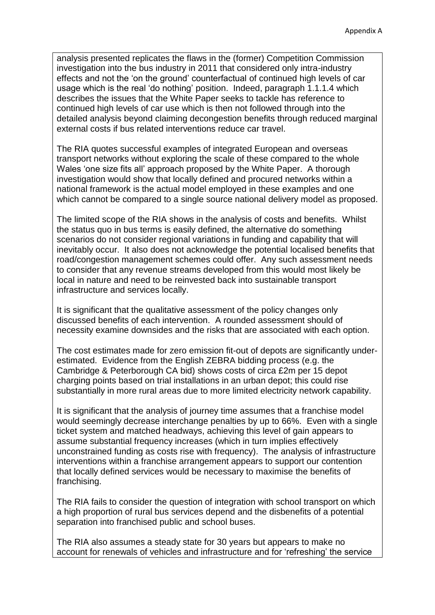analysis presented replicates the flaws in the (former) Competition Commission investigation into the bus industry in 2011 that considered only intra-industry effects and not the 'on the ground' counterfactual of continued high levels of car usage which is the real 'do nothing' position. Indeed, paragraph 1.1.1.4 which describes the issues that the White Paper seeks to tackle has reference to continued high levels of car use which is then not followed through into the detailed analysis beyond claiming decongestion benefits through reduced marginal external costs if bus related interventions reduce car travel.

The RIA quotes successful examples of integrated European and overseas transport networks without exploring the scale of these compared to the whole Wales 'one size fits all' approach proposed by the White Paper. A thorough investigation would show that locally defined and procured networks within a national framework is the actual model employed in these examples and one which cannot be compared to a single source national delivery model as proposed.

The limited scope of the RIA shows in the analysis of costs and benefits. Whilst the status quo in bus terms is easily defined, the alternative do something scenarios do not consider regional variations in funding and capability that will inevitably occur. It also does not acknowledge the potential localised benefits that road/congestion management schemes could offer. Any such assessment needs to consider that any revenue streams developed from this would most likely be local in nature and need to be reinvested back into sustainable transport infrastructure and services locally.

It is significant that the qualitative assessment of the policy changes only discussed benefits of each intervention. A rounded assessment should of necessity examine downsides and the risks that are associated with each option.

The cost estimates made for zero emission fit-out of depots are significantly underestimated. Evidence from the English ZEBRA bidding process (e.g. the Cambridge & Peterborough CA bid) shows costs of circa £2m per 15 depot charging points based on trial installations in an urban depot; this could rise substantially in more rural areas due to more limited electricity network capability.

It is significant that the analysis of journey time assumes that a franchise model would seemingly decrease interchange penalties by up to 66%. Even with a single ticket system and matched headways, achieving this level of gain appears to assume substantial frequency increases (which in turn implies effectively unconstrained funding as costs rise with frequency). The analysis of infrastructure interventions within a franchise arrangement appears to support our contention that locally defined services would be necessary to maximise the benefits of franchising.

The RIA fails to consider the question of integration with school transport on which a high proportion of rural bus services depend and the disbenefits of a potential separation into franchised public and school buses.

The RIA also assumes a steady state for 30 years but appears to make no account for renewals of vehicles and infrastructure and for 'refreshing' the service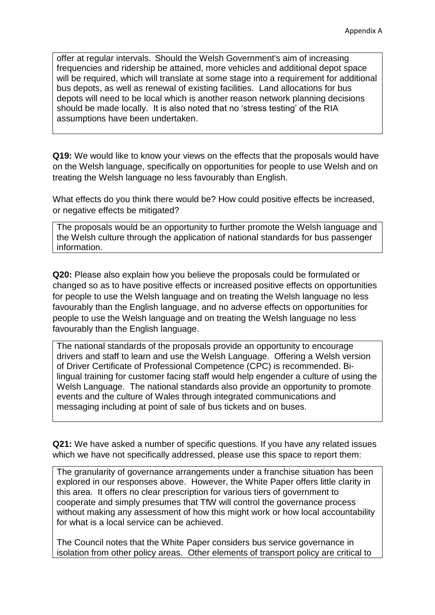offer at regular intervals. Should the Welsh Government's aim of increasing frequencies and ridership be attained, more vehicles and additional depot space will be required, which will translate at some stage into a requirement for additional bus depots, as well as renewal of existing facilities. Land allocations for bus depots will need to be local which is another reason network planning decisions should be made locally. It is also noted that no 'stress testing' of the RIA assumptions have been undertaken.

**Q19:** We would like to know your views on the effects that the proposals would have on the Welsh language, specifically on opportunities for people to use Welsh and on treating the Welsh language no less favourably than English.

What effects do you think there would be? How could positive effects be increased, or negative effects be mitigated?

The proposals would be an opportunity to further promote the Welsh language and the Welsh culture through the application of national standards for bus passenger information.

**Q20:** Please also explain how you believe the proposals could be formulated or changed so as to have positive effects or increased positive effects on opportunities for people to use the Welsh language and on treating the Welsh language no less favourably than the English language, and no adverse effects on opportunities for people to use the Welsh language and on treating the Welsh language no less favourably than the English language.

The national standards of the proposals provide an opportunity to encourage drivers and staff to learn and use the Welsh Language. Offering a Welsh version of Driver Certificate of Professional Competence (CPC) is recommended. Bilingual training for customer facing staff would help engender a culture of using the Welsh Language. The national standards also provide an opportunity to promote events and the culture of Wales through integrated communications and messaging including at point of sale of bus tickets and on buses.

**Q21:** We have asked a number of specific questions. If you have any related issues which we have not specifically addressed, please use this space to report them:

The granularity of governance arrangements under a franchise situation has been explored in our responses above. However, the White Paper offers little clarity in this area. It offers no clear prescription for various tiers of government to cooperate and simply presumes that TfW will control the governance process without making any assessment of how this might work or how local accountability for what is a local service can be achieved.

The Council notes that the White Paper considers bus service governance in isolation from other policy areas. Other elements of transport policy are critical to